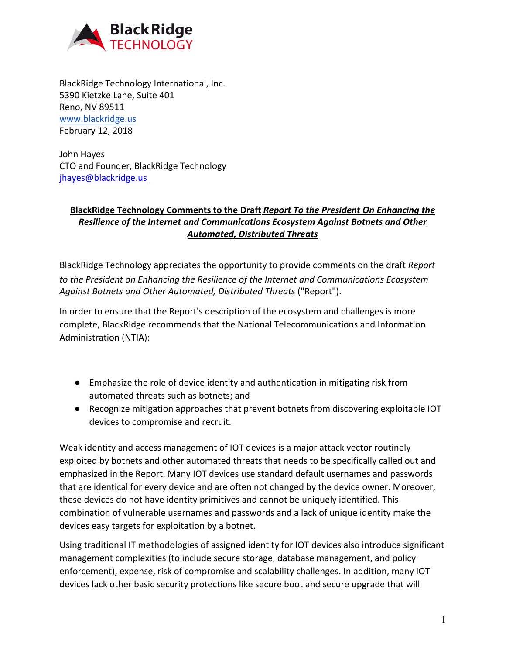

BlackRidge Technology International, Inc. 5390 Kietzke Lane, Suite 401 Reno, NV 89511 [www.blackridge.us](http://www.blackridge.us/) February 12, 2018

John Hayes CTO and Founder, BlackRidge Technology jhayes@blackridge.us

## **[BlackRidge Technol](mailto:jhayes@blackridge.us)ogy Comments to the Draft** *Report To the President On Enhancing the Resilience of the Internet and Communications Ecosystem Against Botnets and Other Automated, Distributed Threats*

BlackRidge Technology appreciates the opportunity to provide comments on the draft *Report to the President on Enhancing the Resilience of the Internet and Communications Ecosystem Against Botnets and Other Automated, Distributed Threats* ("Report").

In order to ensure that the Report's description of the ecosystem and challenges is more complete, BlackRidge recommends that the National Telecommunications and Information Administration (NTIA):

- Emphasize the role of device identity and authentication in mitigating risk from automated threats such as botnets; and
- Recognize mitigation approaches that prevent botnets from discovering exploitable IOT devices to compromise and recruit.

Weak identity and access management of IOT devices is a major attack vector routinely exploited by botnets and other automated threats that needs to be specifically called out and emphasized in the Report. Many IOT devices use standard default usernames and passwords that are identical for every device and are often not changed by the device owner. Moreover, these devices do not have identity primitives and cannot be uniquely identified. This combination of vulnerable usernames and passwords and a lack of unique identity make the devices easy targets for exploitation by a botnet.

Using traditional IT methodologies of assigned identity for IOT devices also introduce significant management complexities (to include secure storage, database management, and policy enforcement), expense, risk of compromise and scalability challenges. In addition, many IOT devices lack other basic security protections like secure boot and secure upgrade that will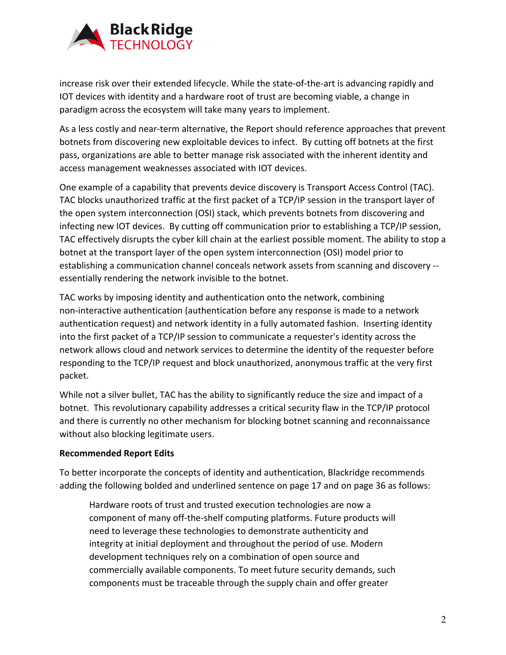

increase risk over their extended lifecycle. While the state-of-the-art is advancing rapidly and IOT devices with identity and a hardware root of trust are becoming viable, a change in paradigm across the ecosystem will take many years to implement.

As a less costly and near-term alternative, the Report should reference approaches that prevent botnets from discovering new exploitable devices to infect. By cutting off botnets at the first pass, organizations are able to better manage risk associated with the inherent identity and access management weaknesses associated with IOT devices.

One example of a capability that prevents device discovery is Transport Access Control (TAC). TAC blocks unauthorized traffic at the first packet of a TCP/IP session in the transport layer of the open system interconnection (OSI) stack, which prevents botnets from discovering and infecting new IOT devices. By cutting off communication prior to establishing a TCP/IP session, TAC effectively disrupts the cyber kill chain at the earliest possible moment. The ability to stop a botnet at the transport layer of the open system interconnection (OSI) model prior to establishing a communication channel conceals network assets from scanning and discovery - essentially rendering the network invisible to the botnet.

TAC works by imposing identity and authentication onto the network, combining non-interactive authentication (authentication before any response is made to a network authentication request) and network identity in a fully automated fashion. Inserting identity into the first packet of a TCP/IP session to communicate a requester's identity across the network allows cloud and network services to determine the identity of the requester before responding to the TCP/IP request and block unauthorized, anonymous traffic at the very first packet.

While not a silver bullet, TAC has the ability to significantly reduce the size and impact of a botnet. This revolutionary capability addresses a critical security flaw in the TCP/IP protocol and there is currently no other mechanism for blocking botnet scanning and reconnaissance without also blocking legitimate users.

## **Recommended Report Edits**

To better incorporate the concepts of identity and authentication, Blackridge recommends adding the following bolded and underlined sentence on page 17 and on page 36 as follows:

Hardware roots of trust and trusted execution technologies are now a component of many off-the-shelf computing platforms. Future products will need to leverage these technologies to demonstrate authenticity and integrity at initial deployment and throughout the period of use. Modern development techniques rely on a combination of open source and commercially available components. To meet future security demands, such components must be traceable through the supply chain and offer greater